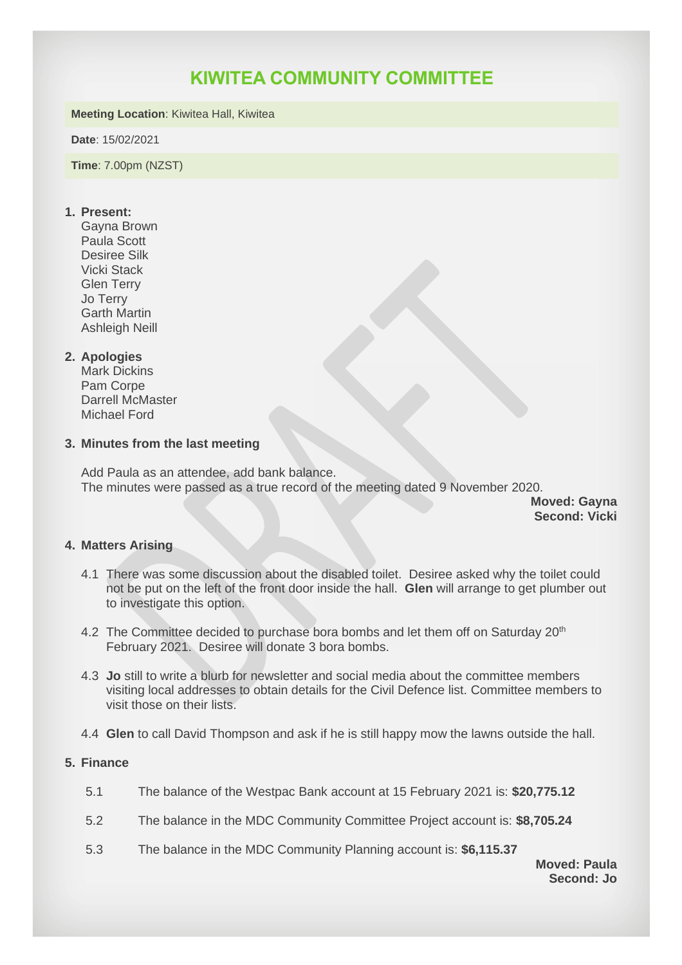# **KIWITEA COMMUNITY COMMITTEE**

#### **Meeting Location**: Kiwitea Hall, Kiwitea

**Date**: 15/02/2021

**Time**: 7.00pm (NZST)

# **1. Present:**

Gayna Brown Paula Scott Desiree Silk Vicki Stack Glen Terry Jo Terry Garth Martin Ashleigh Neill

## **2. Apologies**

Mark Dickins Pam Corpe Darrell McMaster Michael Ford

## **3. Minutes from the last meeting**

Add Paula as an attendee, add bank balance. The minutes were passed as a true record of the meeting dated 9 November 2020.

**Moved: Gayna Second: Vicki**

# **4. Matters Arising**

- 4.1 There was some discussion about the disabled toilet. Desiree asked why the toilet could not be put on the left of the front door inside the hall. **Glen** will arrange to get plumber out to investigate this option.
- 4.2 The Committee decided to purchase bora bombs and let them off on Saturday 20<sup>th</sup> February 2021. Desiree will donate 3 bora bombs.
- 4.3 **Jo** still to write a blurb for newsletter and social media about the committee members visiting local addresses to obtain details for the Civil Defence list. Committee members to visit those on their lists.
- 4.4 **Glen** to call David Thompson and ask if he is still happy mow the lawns outside the hall.

#### **5. Finance**

- 5.1 The balance of the Westpac Bank account at 15 February 2021 is: **\$20,775.12**
- 5.2 The balance in the MDC Community Committee Project account is: **\$8,705.24**
- 5.3 The balance in the MDC Community Planning account is: **\$6,115.37**

**Moved: Paula Second: Jo**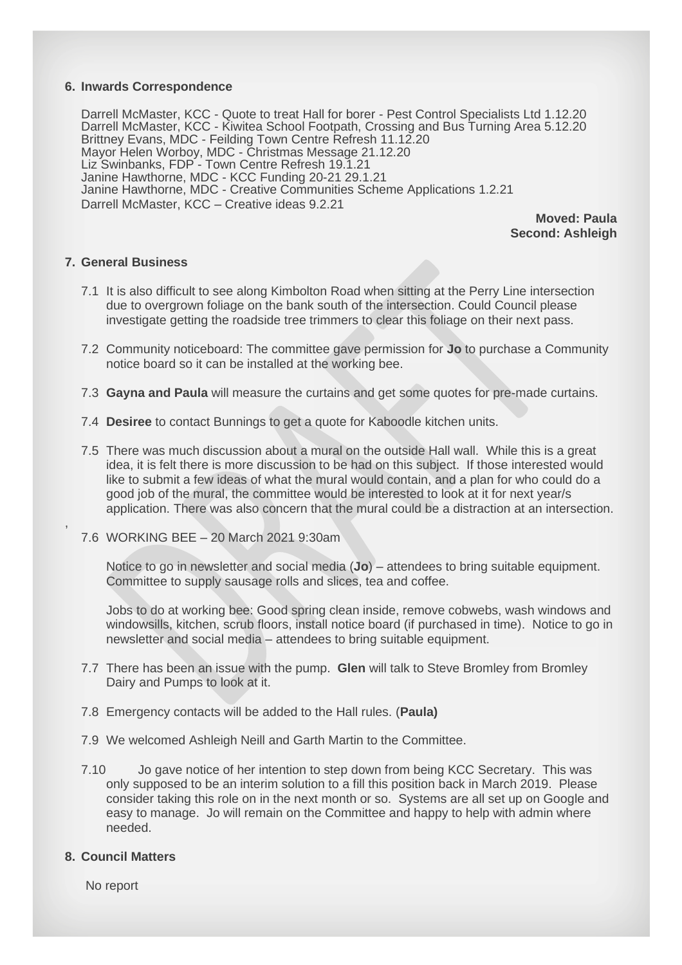#### **6. Inwards Correspondence**

Darrell McMaster, KCC - Quote to treat Hall for borer - Pest Control Specialists Ltd 1.12.20 Darrell McMaster, KCC - Kiwitea School Footpath, Crossing and Bus Turning Area 5.12.20 Brittney Evans, MDC - Feilding Town Centre Refresh 11.12.20 Mayor Helen Worboy, MDC - Christmas Message 21.12.20 Liz Swinbanks, FDP - Town Centre Refresh 19.1.21 Janine Hawthorne, MDC - KCC Funding 20-21 29.1.21 Janine Hawthorne, MDC - Creative Communities Scheme Applications 1.2.21 Darrell McMaster, KCC – Creative ideas 9.2.21

> **Moved: Paula Second: Ashleigh**

## **7. General Business**

,

- 7.1 It is also difficult to see along Kimbolton Road when sitting at the Perry Line intersection due to overgrown foliage on the bank south of the intersection. Could Council please investigate getting the roadside tree trimmers to clear this foliage on their next pass.
- 7.2 Community noticeboard: The committee gave permission for **Jo** to purchase a Community notice board so it can be installed at the working bee.
- 7.3 **Gayna and Paula** will measure the curtains and get some quotes for pre-made curtains.
- 7.4 **Desiree** to contact Bunnings to get a quote for Kaboodle kitchen units.
- 7.5 There was much discussion about a mural on the outside Hall wall. While this is a great idea, it is felt there is more discussion to be had on this subject. If those interested would like to submit a few ideas of what the mural would contain, and a plan for who could do a good job of the mural, the committee would be interested to look at it for next year/s application. There was also concern that the mural could be a distraction at an intersection.
- 7.6 WORKING BEE 20 March 2021 9:30am

Notice to go in newsletter and social media (**Jo**) – attendees to bring suitable equipment. Committee to supply sausage rolls and slices, tea and coffee.

Jobs to do at working bee: Good spring clean inside, remove cobwebs, wash windows and windowsills, kitchen, scrub floors, install notice board (if purchased in time). Notice to go in newsletter and social media – attendees to bring suitable equipment.

- 7.7 There has been an issue with the pump. **Glen** will talk to Steve Bromley from Bromley Dairy and Pumps to look at it.
- 7.8 Emergency contacts will be added to the Hall rules. (**Paula)**
- 7.9 We welcomed Ashleigh Neill and Garth Martin to the Committee.
- 7.10 Jo gave notice of her intention to step down from being KCC Secretary. This was only supposed to be an interim solution to a fill this position back in March 2019. Please consider taking this role on in the next month or so. Systems are all set up on Google and easy to manage. Jo will remain on the Committee and happy to help with admin where needed.

#### **8. Council Matters**

No report